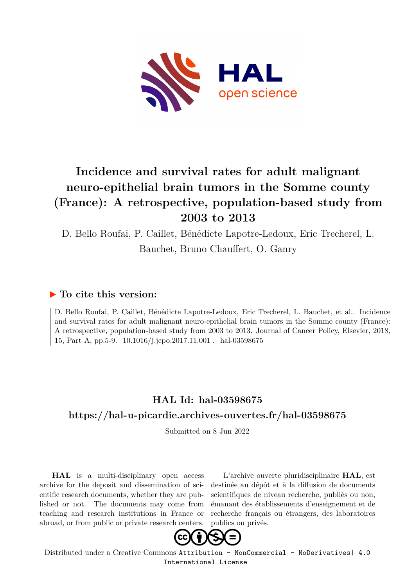

# **Incidence and survival rates for adult malignant neuro-epithelial brain tumors in the Somme county (France): A retrospective, population-based study from 2003 to 2013**

D. Bello Roufai, P. Caillet, Bénédicte Lapotre-Ledoux, Eric Trecherel, L. Bauchet, Bruno Chauffert, O. Ganry

# **To cite this version:**

D. Bello Roufai, P. Caillet, Bénédicte Lapotre-Ledoux, Eric Trecherel, L. Bauchet, et al.. Incidence and survival rates for adult malignant neuro-epithelial brain tumors in the Somme county (France): A retrospective, population-based study from 2003 to 2013. Journal of Cancer Policy, Elsevier, 2018, 15, Part A, pp.5-9. 10.1016/j.jcpo.2017.11.001 . hal-03598675

# **HAL Id: hal-03598675**

# **<https://hal-u-picardie.archives-ouvertes.fr/hal-03598675>**

Submitted on 8 Jun 2022

**HAL** is a multi-disciplinary open access archive for the deposit and dissemination of scientific research documents, whether they are published or not. The documents may come from teaching and research institutions in France or abroad, or from public or private research centers.

L'archive ouverte pluridisciplinaire **HAL**, est destinée au dépôt et à la diffusion de documents scientifiques de niveau recherche, publiés ou non, émanant des établissements d'enseignement et de recherche français ou étrangers, des laboratoires publics ou privés.



Distributed under a Creative Commons [Attribution - NonCommercial - NoDerivatives| 4.0](http://creativecommons.org/licenses/by-nc-nd/4.0/) [International License](http://creativecommons.org/licenses/by-nc-nd/4.0/)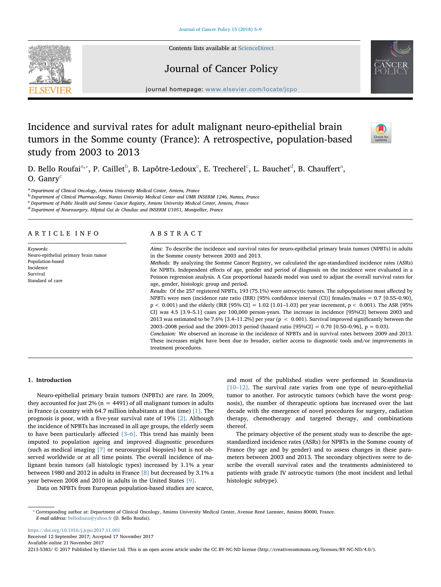Contents lists available at [ScienceDirect](http://www.sciencedirect.com/science/journal/22135383)

# Journal of Cancer Policy

journal homepage: [www.elsevier.com/locate/jcpo](https://www.elsevier.com/locate/jcpo)

# Incidence and survival rates for adult malignant neuro-epithelial brain tumors in the Somme county (France): A retrospective, population-based study from 2003 to 2013

D. Bello Roufai $^{\mathrm{a},*}$ , P. Caillet $^{\mathrm{b}}$ , B. Lapôtre-Ledoux $^{\mathrm{c}}$ , E. Trecherel $^{\mathrm{c}}$ , L. Bauchet $^{\mathrm{d}}$ , B. Chauffert $^{\mathrm{a}}$ , O. Ganry<sup>c</sup>

<sup>a</sup> Department of Clinical Oncology, Amiens University Medical Center, Amiens, France

<sup>b</sup> Department of Clinical Pharmacology, Nantes University Medical Center and UMR INSERM 1246, Nantes, France

<sup>c</sup> Department of Public Health and Somme Cancer Registry, Amiens University Medical Center, Amiens, France

<sup>d</sup> Department of Neurosurgery, Hôpital Gui de Chauliac and INSERM U1051, Montpellier, France

## ARTICLE INFO

Keywords: Neuro-epithelial primary brain tumor Population-based Incidence Survival Standard of care

# ABSTRACT

Aims: To describe the incidence and survival rates for neuro-epithelial primary brain tumors (NPBTs) in adults in the Somme county between 2003 and 2013.

Methods: By analyzing the Somme Cancer Registry, we calculated the age-standardized incidence rates (ASRs) for NPBTs. Independent effects of age, gender and period of diagnosis on the incidence were evaluated in a Poisson regression analysis. A Cox proportional hazards model was used to adjust the overall survival rates for age, gender, histologic group and period.

Results: Of the 257 registered NPBTs, 193 (75.1%) were astrocytic tumors. The subpopulations most affected by NPBTs were men (incidence rate ratio (IRR) [95% confidence interval (CI)] females/males = 0.7 [0.55–0.90],  $p < 0.001$ ) and the elderly (IRR [95% CI] = 1.02 [1.01–1.03] per year increment,  $p < 0.001$ ). The ASR [95% CI] was 4.5 [3.9–5.1] cases per 100,000 person-years. The increase in incidence [95%CI] between 2003 and 2013 was estimated to be 7.6% [3.4–11.2%] per year (p < 0.001). Survival improved significantly between the 2003–2008 period and the 2009–2013 period (hazard ratio [95%CI] = 0.70 [0.50–0.96], p = 0.03).

Conclusion: We observed an increase in the incidence of NPBTs and in survival rates between 2009 and 2013. These increases might have been due to broader, earlier access to diagnostic tools and/or improvements in treatment procedures.

# 1. Introduction

Neuro-epithelial primary brain tumors (NPBTs) are rare. In 2009, they accounted for just  $2\%$  (n = 4491) of all malignant tumors in adults in France (a country with 64.7 million inhabitants at that time) [1]. The prognosis is poor, with a five-year survival rate of 19% [2]. Although the incidence of NPBTs has increased in all age groups, the elderly seem to have been particularly affected [3–6]. This trend has mainly been imputed to population ageing and improved diagnostic procedures (such as medical imaging [7] or neurosurgical biopsies) but is not observed worldwide or at all time points. The overall incidence of malignant brain tumors (all histologic types) increased by 1.1% a year between 1980 and 2012 in adults in France [8] but decreased by 3.1% a year between 2008 and 2010 in adults in the United States [9].

Data on NPBTs from European population-based studies are scarce,

and most of the published studies were performed in Scandinavia [10–12]. The survival rate varies from one type of neuro-epithelial tumor to another. For astrocytic tumors (which have the worst prognosis), the number of therapeutic options has increased over the last decade with the emergence of novel procedures for surgery, radiation therapy, chemotherapy and targeted therapy, and combinations thereof.

The primary objective of the present study was to describe the agestandardized incidence rates (ASRs) for NPBTs in the Somme county of France (by age and by gender) and to assess changes in these parameters between 2003 and 2013. The secondary objectives were to describe the overall survival rates and the treatments administered to patients with grade IV astrocytic tumors (the most incident and lethal histologic subtype).

⁎ Corresponding author at: Department of Clinical Oncology, Amiens University Medical Center, Avenue René Laennec, Amiens 80000, France. E-mail address: [bellodiana@yahoo.fr](mailto:bellodiana@yahoo.fr) (D. Bello Roufai).

<https://doi.org/10.1016/j.jcpo.2017.11.001> Received 12 September 2017; Accepted 17 November 2017 Available online 21 November 2017

2213-5383/ © 2017 Published by Elsevier Ltd. This is an open access article under the CC BY-NC-ND license (http://creativecommons.org/licenses/BY-NC-ND/4.0/).





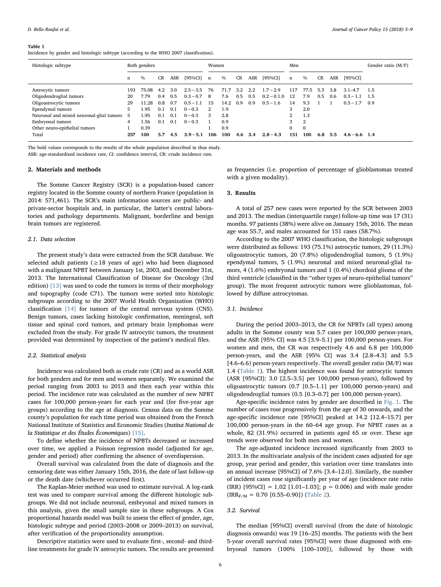#### Table 1

Incidence by gender and histologic subtype (according to the WHO 2007 classification).

| Histologic subtype                       | Both genders |       |           | Women |             |     |      | Men       |     |               |     | Gender ratio $(M/F)$ |           |     |                 |     |
|------------------------------------------|--------------|-------|-----------|-------|-------------|-----|------|-----------|-----|---------------|-----|----------------------|-----------|-----|-----------------|-----|
|                                          | n            | $\%$  | <b>CR</b> | ASR   | [95%CI]     | n   | $\%$ | <b>CR</b> | ASR | [95%CI]       | n   | $\frac{0}{0}$        | <b>CR</b> | ASR | [95%CI]         |     |
| Astrocytic tumors                        | 193          | 75.08 | 4.2       | 3.0   | $2.5 - 3.5$ | 76  | 71.7 | 3.2       | 2.2 | $1.7 - 2.9$   | 117 | 77.5                 | 5.3       | 3.8 | $3.1 - 4.7$     | 1.5 |
| Oligodendroglial tumors                  | 20           | 7.79  | 0.4       | 0.5   | $0.3 - 0.7$ | 8   | 7.6  | 0.5       | 0.5 | $0.2 - 0.1.0$ | 12  | 7.9                  | 0.5       | 0.6 | $0.3 - 1.1$     | 1.5 |
| Oligoastrocytic tumors                   | 29           | 11.28 | 0.8       | 0.7   | $0.5 - 1.1$ | 15  | 14.2 | 0.9       | 0.9 | $0.5 - 1.6$   | 14  | 9.3                  |           |     | $0.5 - 1.7$     | 0.9 |
| Ependymal tumors                         | 5            | 1.95  | 0.1       | 0.1   | $0 - 0.3$   | 2   | 1.9  |           |     |               | 3   | 2.0                  |           |     |                 |     |
| Neuronal and mixed neuronal-glial tumors | .5           | 1.95  | 0.1       | 0.1   | $0 - 0.3$   | 3   | 2.8  |           |     |               | 2   | 1.3                  |           |     |                 |     |
| Embryonal tumors                         | 4            | 1.56  | 0.1       | 0.1   | $0 - 0.3$   |     | 0.9  |           |     |               | 3   | 2                    |           |     |                 |     |
| Other neuro-epithelial tumors            |              | 0.39  |           |       |             |     | 0.9  |           |     |               | 0   | $\mathbf{0}$         |           |     |                 |     |
| Total                                    | 257          | 100   | 5.7       | 4.5   | $3.9 - 5.1$ | 106 | 100  | 4.6       | 3.4 | $2.8 - 4.3$   | 151 | 100                  | 6.8       | 5.5 | $4.6 - 6.6$ 1.4 |     |

The bold values corresponds to the results of the whole population described in thus study. ASR: age-standardized incidence rate, CI: confidence interval, CR: crude incidence rate.

### 2. Materials and methods

The Somme Cancer Registry (SCR) is a population-based cancer registry located in the Somme county of northern France (population in 2014: 571,461). The SCR's main information sources are public- and private-sector hospitals and, in particular, the latter's central laboratories and pathology departments. Malignant, borderline and benign brain tumors are registered.

#### 2.1. Data selection

The present study's data were extracted from the SCR database. We selected adult patients ( $\geq$ 18 years of age) who had been diagnosed with a malignant NPBT between January 1st, 2003, and December 31st, 2013. The International Classification of Disease for Oncology (3rd edition) [13] was used to code the tumors in terms of their morphology and topography (code C71). The tumors were sorted into histologic subgroups according to the 2007 World Health Organization (WHO) classification [14] for tumors of the central nervous system (CNS). Benign tumors, cases lacking histologic confirmation, meningeal, soft tissue and spinal cord tumors, and primary brain lymphomas were excluded from the study. For grade IV astrocytic tumors, the treatment provided was determined by inspection of the patient's medical files.

#### 2.2. Statistical analysis

Incidence was calculated both as crude rate (CR) and as a world ASR for both genders and for men and women separately. We examined the period ranging from 2003 to 2013 and then each year within this period. The incidence rate was calculated as the number of new NPBT cases for 100,000 person-years for each year and (for five-year age groups) according to the age at diagnosis. Census data on the Somme county's population for each time period was obtained from the French National Institute of Statistics and Economic Studies (Institut National de la Statistique et des Études Économiques) [15].

To define whether the incidence of NPBTs decreased or increased over time, we applied a Poisson regression model (adjusted for age, gender and period) after confirming the absence of overdispersion.

Overall survival was calculated from the date of diagnosis and the censoring date was either January 15th, 2016, the date of last follow-up or the death date (whichever occurred first).

The Kaplan-Meier method was used to estimate survival. A log-rank test was used to compare survival among the different histologic subgroups. We did not include neuronal, embryonal and mixed tumors in this analysis, given the small sample size in these subgroups. A Cox proportional hazards model was built to assess the effect of gender, age, histologic subtype and period (2003–2008 or 2009–2013) on survival, after verification of the proportionality assumption.

Descriptive statistics were used to evaluate first-, second- and thirdline treatments for grade IV astrocytic tumors. The results are presented as frequencies (i.e. proportion of percentage of glioblastomas treated with a given modality).

#### 3. Results

A total of 257 new cases were reported by the SCR between 2003 and 2013. The median (interquartile range) follow-up time was 17 (31) months. 97 patients (38%) were alive on January 15th, 2016. The mean age was 55.7, and males accounted for 151 cases (58.7%).

According to the 2007 WHO classification, the histologic subgroups were distributed as follows: 193 (75.1%) astrocytic tumors, 29 (11.3%) oligoastrocytic tumors, 20 (7.8%) oligodendroglial tumors, 5 (1.9%) ependymal tumors, 5 (1.9%) neuronal and mixed neuronal-glial tumors, 4 (1.6%) embryonal tumors and 1 (0.4%) chordoid glioma of the third ventricle (classified in the "other types of neuro-epithelial tumors" group). The most frequent astrocytic tumors were glioblastomas, followed by diffuse astrocytomas.

# 3.1. Incidence

During the period 2003–2013, the CR for NPBTs (all types) among adults in the Somme county was 5.7 cases per 100,000 person-years, and the ASR [95% CI] was 4.5 [3.9–5.1] per 100,000 person-years. For women and men, the CR was respectively 4.6 and 6.8 per 100,000 person-years, and the ASR [95% CI] was 3.4 [2.8–4.3] and 5.5  $[4.6–6.6)$  person-years respectively. The overall gender ratio  $(M/F)$  was 1.4 (Table 1). The highest incidence was found for astrocytic tumors (ASR [95%CI]: 3.0 [2.5–3.5] per 100,000 person-years), followed by oligoastrocytic tumors (0.7 [0.5–1.1] per 100,000 person-years) and oligodendroglial tumors (0.5 [0.3–0.7] per 100,000 person-years).

Age-specific incidence rates by gender are described in Fig. 1. The number of cases rose progressively from the age of 30 onwards, and the age-specific incidence rate [95%CI] peaked at 14.2 [12.4–15.7] per 100,000 person-years in the 60–64 age group. For NPBT cases as a whole, 82 (31.9%) occurred in patients aged 65 or over. These age trends were observed for both men and women.

The age-adjusted incidence increased significantly from 2003 to 2013. In the multivariate analysis of the incident cases adjusted for age group, year period and gender, this variation over time translates into an annual increase [95%CI] of 7.6% [3.4–12.0]. Similarly, the number of incident cases rose significantly per year of age (incidence rate ratio (IRR)  $[95\%CI] = 1.02 [1.01-1.03]$ ;  $p = 0.006$ ) and with male gender  $\left($  IRR<sub>F/M</sub> = 0.70 [0.55–0.90]) (Table 2).

#### 3.2. Survival

The median [95%CI] overall survival (from the date of histologic diagnosis onwards) was 19 [16–25] months. The patients with the best 5-year overall survival rates [95%CI] were those diagnosed with embryonal tumors (100% [100–100]), followed by those with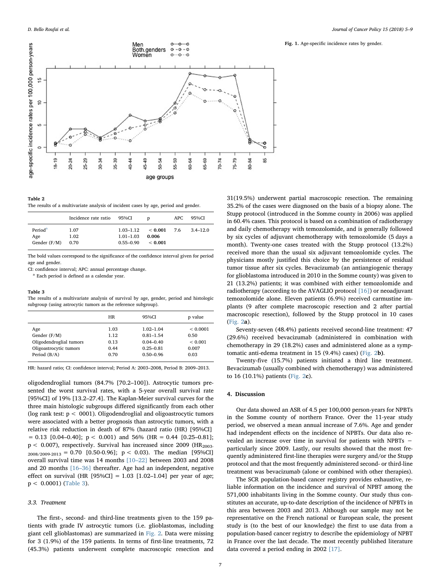

The results of a multivariate analysis of incident cases by age, period and gender.

|                                              | Incidence rate ratio 95%CI |                                                 | D                           | APC. | 95%CI        |
|----------------------------------------------|----------------------------|-------------------------------------------------|-----------------------------|------|--------------|
| Period <sup>a</sup><br>Age<br>Gender $(F/M)$ | 1.07<br>1.02<br>0.70       | $1.03 - 1.12$<br>$1.01 - 1.03$<br>$0.55 - 0.90$ | < 0.001<br>0.006<br>< 0.001 | 7.6  | $3.4 - 12.0$ |

The bold values correspond to the significance of the confidence interval given for period age and gender.

CI: confidence interval; APC: annual percentage change.

<sup>a</sup> Each period is defined as a calendar year.

#### Table 3

The results of a multivariate analysis of survival by age, gender, period and histologic subgroup (using astrocytic tumors as the reference subgroup).

|                                                                                              | <b>HR</b>                            | 95%CI                                                                             | p value                                          |
|----------------------------------------------------------------------------------------------|--------------------------------------|-----------------------------------------------------------------------------------|--------------------------------------------------|
| Age<br>Gender $(F/M)$<br>Oligodendroglial tumors<br>Oligoastrocytic tumors<br>Period $(B/A)$ | 1.03<br>1.12<br>0.13<br>0.44<br>0.70 | $1.02 - 1.04$<br>$0.81 - 1.54$<br>$0.04 - 0.40$<br>$0.25 - 0.81$<br>$0.50 - 0.96$ | < 0.0001<br>0.50<br>${}< 0.001$<br>0.007<br>0.03 |
|                                                                                              |                                      |                                                                                   |                                                  |

HR: hazard ratio; CI: confidence interval; Period A: 2003–2008, Period B: 2009–2013.

oligodendroglial tumors (84.7% [70.2–100]). Astrocytic tumors presented the worst survival rates, with a 5-year overall survival rate [95%CI] of 19% [13.2–27.4]. The Kaplan-Meier survival curves for the three main histologic subgroups differed significantly from each other (log rank test:  $p < 0001$ ). Oligodendroglial and oligoastrocytic tumors were associated with a better prognosis than astrocytic tumors, with a relative risk reduction in death of 87% (hazard ratio (HR) [95%CI]  $= 0.13$  [0.04-0.40];  $p < 0.001$ ) and 56% (HR = 0.44 [0.25-0.81];  $p < 0.007$ ), respectively. Survival has increased since 2009 (HR<sub>2003-</sub>  $_{2008/2009-2013} = 0.70$  [0.50-0.96]; p < 0.03). The median [95%CI] overall survival time was 14 months [10–22] between 2003 and 2008 and 20 months [16–36] thereafter. Age had an independent, negative effect on survival (HR  $[95\% CI] = 1.03$   $[1.02-1.04]$  per year of age; p < 0.0001) (Table 3).

## 3.3. Treatment

The first-, second- and third-line treatments given to the 159 patients with grade IV astrocytic tumors (i.e. glioblastomas, including giant cell glioblastomas) are summarized in Fig. 2. Data were missing for 3 (1.9%) of the 159 patients. In terms of first-line treatments, 72 (45.3%) patients underwent complete macroscopic resection and Fig. 1. Age-specific incidence rates by gender.

31(19.5%) underwent partial macroscopic resection. The remaining 35.2% of the cases were diagnosed on the basis of a biopsy alone. The Stupp protocol (introduced in the Somme county in 2006) was applied in 60.4% cases. This protocol is based on a combination of radiotherapy and daily chemotherapy with temozolomide, and is generally followed by six cycles of adjuvant chemotherapy with temozolomide (5 days a month). Twenty-one cases treated with the Stupp protocol (13.2%) received more than the usual six adjuvant temozolomide cycles. The physicians mostly justified this choice by the persistence of residual tumor tissue after six cycles. Bevacizumab (an antiangiogenic therapy for glioblastoma introduced in 2010 in the Somme county) was given to 21 (13.2%) patients; it was combined with either temozolomide and radiotherapy (according to the AVAGLIO protocol [16]) or neoadjuvant temozolomide alone. Eleven patients (6.9%) received carmustine implants (9 after complete macroscopic resection and 2 after partial macroscopic resection), followed by the Stupp protocol in 10 cases (Fig. 2a).

Seventy-seven (48.4%) patients received second-line treatment: 47 (29.6%) received bevacizumab (administered in combination with chemotherapy in 29 (18.2%) cases and administered alone as a symptomatic anti-edema treatment in 15 (9.4%) cases) (Fig. 2b).

Twenty-five (15.7%) patients initiated a third line treatment. Bevacizumab (usually combined with chemotherapy) was administered to 16 (10.1%) patients (Fig. 2c).

## 4. Discussion

Our data showed an ASR of 4.5 per 100,000 person-years for NPBTs in the Somme county of northern France. Over the 11-year study period, we observed a mean annual increase of 7.6%. Age and gender had independent effects on the incidence of NPBTs. Our data also revealed an increase over time in survival for patients with NPBTs − particularly since 2009. Lastly, our results showed that the most frequently administered first-line therapies were surgery and/or the Stupp protocol and that the most frequently administered second- or third-line treatment was bevacizumab (alone or combined with other therapies).

The SCR population-based cancer registry provides exhaustive, reliable information on the incidence and survival of NPBT among the 571,000 inhabitants living in the Somme county. Our study thus constitutes an accurate, up-to-date description of the incidence of NPBTs in this area between 2003 and 2013. Although our sample may not be representative on the French national or European scale, the present study is (to the best of our knowledge) the first to use data from a population-based cancer registry to describe the epidemiology of NPBT in France over the last decade. The most recently published literature data covered a period ending in 2002 [17].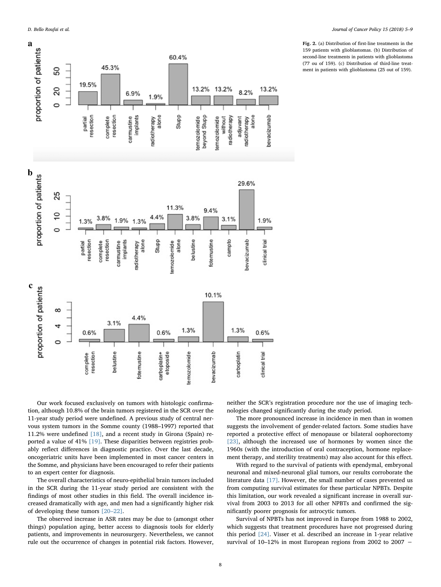

Fig. 2. (a) Distribution of first-line treatments in the 159 patients with glioblastomas. (b) Distribution of second-line treatments in patients with glioblastoma (77 ou of 159). (c) Distribution of third-line treatment in patients with glioblastoma (25 out of 159).

Our work focused exclusively on tumors with histologic confirmation, although 10.8% of the brain tumors registered in the SCR over the 11-year study period were undefined. A previous study of central nervous system tumors in the Somme county (1988–1997) reported that 11.2% were undefined [18], and a recent study in Girona (Spain) reported a value of 41% [19]. These disparities between registries probably reflect differences in diagnostic practice. Over the last decade, oncogeriatric units have been implemented in most cancer centers in the Somme, and physicians have been encouraged to refer their patients to an expert center for diagnosis.

The overall characteristics of neuro-epithelial brain tumors included in the SCR during the 11-year study period are consistent with the findings of most other studies in this field. The overall incidence increased dramatically with age, and men had a significantly higher risk of developing these tumors [20–22].

The observed increase in ASR rates may be due to (amongst other things) population aging, better access to diagnosis tools for elderly patients, and improvements in neurosurgery. Nevertheless, we cannot rule out the occurrence of changes in potential risk factors. However,

neither the SCR's registration procedure nor the use of imaging technologies changed significantly during the study period.

The more pronounced increase in incidence in men than in women suggests the involvement of gender-related factors. Some studies have reported a protective effect of menopause or bilateral oophorectomy [23], although the increased use of hormones by women since the 1960s (with the introduction of oral contraception, hormone replacement therapy, and sterility treatments) may also account for this effect.

With regard to the survival of patients with ependymal, embryonal neuronal and mixed-neuronal glial tumors, our results corroborate the literature data [17]. However, the small number of cases prevented us from computing survival estimates for these particular NPBTs. Despite this limitation, our work revealed a significant increase in overall survival from 2003 to 2013 for all other NPBTs and confirmed the significantly poorer prognosis for astrocytic tumors.

Survival of NPBTs has not improved in Europe from 1988 to 2002, which suggests that treatment procedures have not progressed during this period [24]. Visser et al. described an increase in 1-year relative survival of 10–12% in most European regions from 2002 to 2007 −